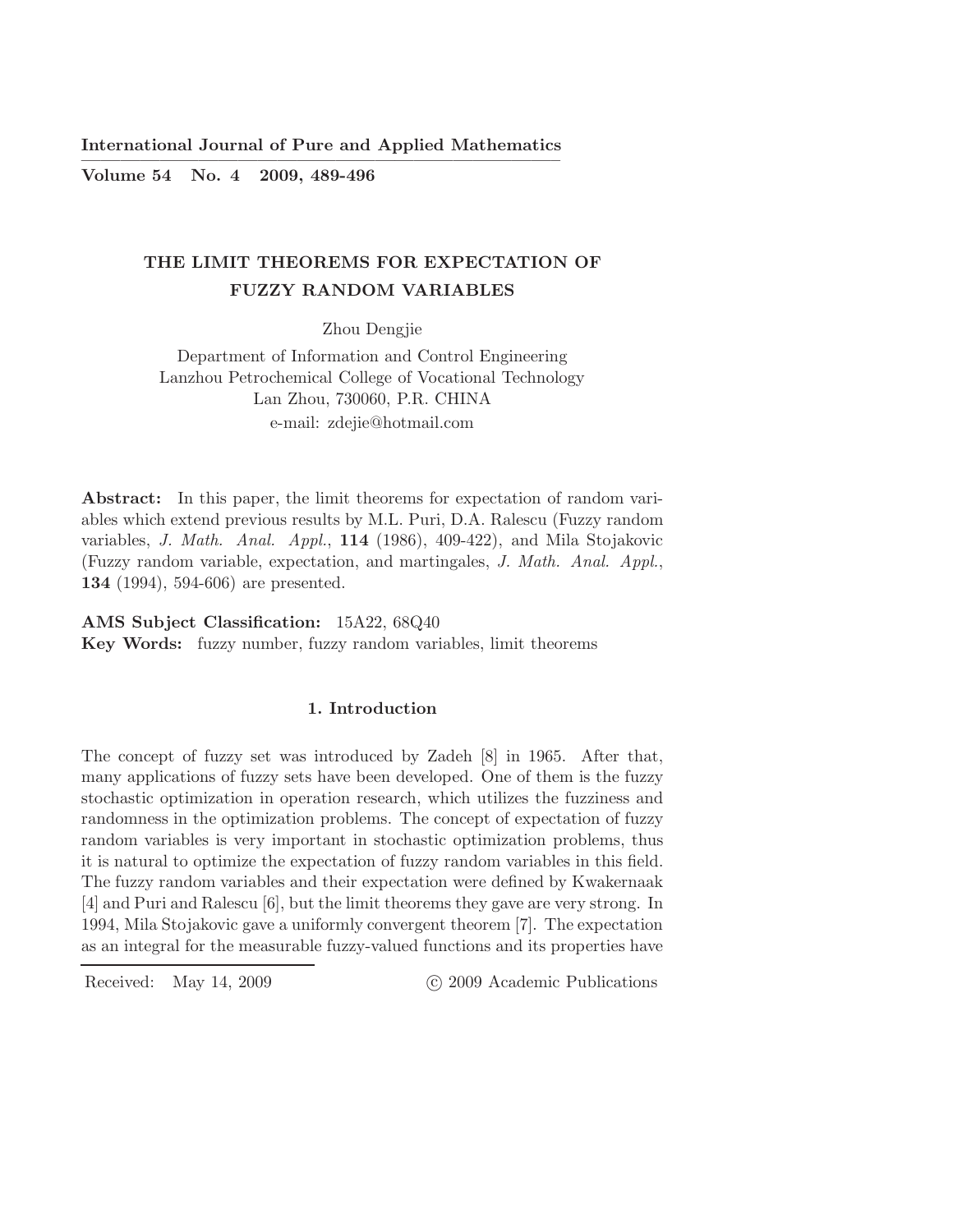International Journal of Pure and Applied Mathematics ————————————————————————–

Volume 54 No. 4 2009, 489-496

# THE LIMIT THEOREMS FOR EXPECTATION OF FUZZY RANDOM VARIABLES

Zhou Dengjie

Department of Information and Control Engineering Lanzhou Petrochemical College of Vocational Technology Lan Zhou, 730060, P.R. CHINA e-mail: zdejie@hotmail.com

Abstract: In this paper, the limit theorems for expectation of random variables which extend previous results by M.L. Puri, D.A. Ralescu (Fuzzy random variables, *J. Math. Anal. Appl.*, 114 (1986), 409-422), and Mila Stojakovic (Fuzzy random variable, expectation, and martingales, *J. Math. Anal. Appl.*, 134 (1994), 594-606) are presented.

AMS Subject Classification: 15A22, 68Q40 Key Words: fuzzy number, fuzzy random variables, limit theorems

## 1. Introduction

The concept of fuzzy set was introduced by Zadeh [8] in 1965. After that, many applications of fuzzy sets have been developed. One of them is the fuzzy stochastic optimization in operation research, which utilizes the fuzziness and randomness in the optimization problems. The concept of expectation of fuzzy random variables is very important in stochastic optimization problems, thus it is natural to optimize the expectation of fuzzy random variables in this field. The fuzzy random variables and their expectation were defined by Kwakernaak [4] and Puri and Ralescu [6], but the limit theorems they gave are very strong. In 1994, Mila Stojakovic gave a uniformly convergent theorem [7]. The expectation as an integral for the measurable fuzzy-valued functions and its properties have

Received: May 14, 2009 (C) 2009 Academic Publications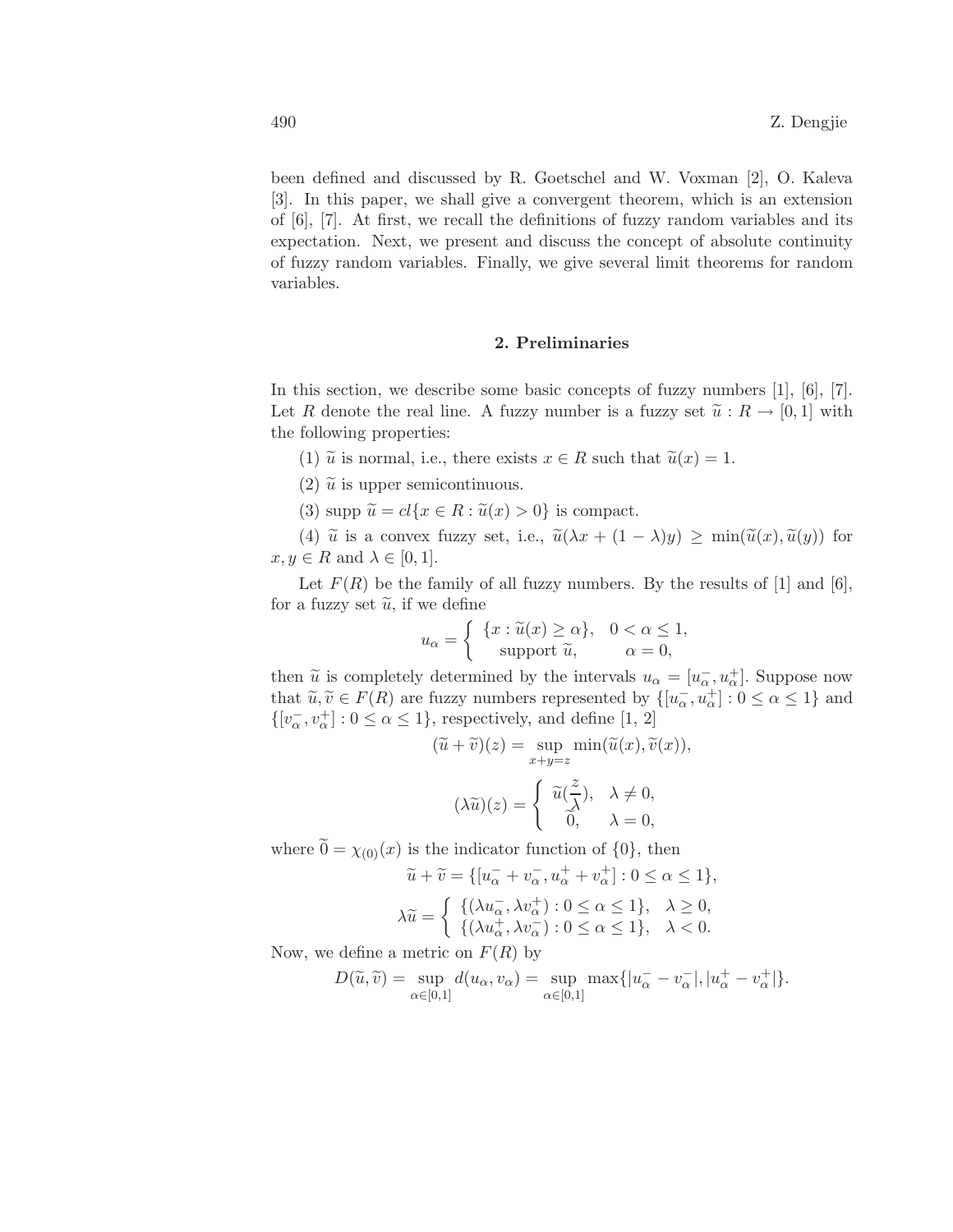been defined and discussed by R. Goetschel and W. Voxman [2], O. Kaleva [3]. In this paper, we shall give a convergent theorem, which is an extension of  $[6]$ ,  $[7]$ . At first, we recall the definitions of fuzzy random variables and its expectation. Next, we present and discuss the concept of absolute continuity of fuzzy random variables. Finally, we give several limit theorems for random variables.

### 2. Preliminaries

In this section, we describe some basic concepts of fuzzy numbers  $[1]$ ,  $[6]$ ,  $[7]$ . Let R denote the real line. A fuzzy number is a fuzzy set  $\tilde{u}: R \to [0,1]$  with the following properties:

- (1)  $\tilde{u}$  is normal, i.e., there exists  $x \in R$  such that  $\tilde{u}(x) = 1$ .
- (2)  $\tilde{u}$  is upper semicontinuous.
- (3) supp  $\widetilde{u} = cl\{x \in R : \widetilde{u}(x) > 0\}$  is compact.

(4)  $\tilde{u}$  is a convex fuzzy set, i.e.,  $\tilde{u}(\lambda x + (1 - \lambda)y) \ge \min(\tilde{u}(x), \tilde{u}(y))$  for  $x, y \in R$  and  $\lambda \in [0, 1].$ 

Let  $F(R)$  be the family of all fuzzy numbers. By the results of [1] and [6], for a fuzzy set  $\tilde{u}$ , if we define

$$
u_{\alpha} = \begin{cases} \{x : \widetilde{u}(x) \ge \alpha\}, & 0 < \alpha \le 1, \\ \text{support } \widetilde{u}, & \alpha = 0, \end{cases}
$$

then  $\widetilde{u}$  is completely determined by the intervals  $u_{\alpha} = [u_{\alpha}^-, u_{\alpha}^+]$ . Suppose now that  $\widetilde{u}, \widetilde{v} \in F(R)$  are fuzzy numbers represented by  $\{[u_\alpha^-, u_\alpha^+] : 0 \le \alpha \le 1\}$  and  $\{[v_\alpha^-,v_\alpha^+]:0\leq\alpha\leq 1\},$  respectively, and define  $[1,\,2]$ 

$$
(\widetilde{u} + \widetilde{v})(z) = \sup_{x+y=z} \min(\widetilde{u}(x), \widetilde{v}(x)),
$$

$$
(\lambda \widetilde{u})(z) = \begin{cases} \widetilde{u}(\frac{z}{\lambda}), & \lambda \neq 0, \\ 0, & \lambda = 0, \end{cases}
$$

where  $\tilde{0} = \chi_{(0)}(x)$  is the indicator function of  $\{0\}$ , then

$$
\widetilde{u} + \widetilde{v} = \{ [u_{\alpha}^- + v_{\alpha}^-, u_{\alpha}^+ + v_{\alpha}^+] : 0 \le \alpha \le 1 \},
$$
  

$$
\lambda \widetilde{u} = \begin{cases} \{ (\lambda u_{\alpha}^-, \lambda v_{\alpha}^+) : 0 \le \alpha \le 1 \}, & \lambda \ge 0, \\ \{ (\lambda u_{\alpha}^+, \lambda v_{\alpha}^-) : 0 \le \alpha \le 1 \}, & \lambda < 0. \end{cases}
$$

Now, we define a metric on  $F(R)$  by

$$
D(\widetilde{u}, \widetilde{v}) = \sup_{\alpha \in [0,1]} d(u_{\alpha}, v_{\alpha}) = \sup_{\alpha \in [0,1]} \max\{|u_{\alpha}^- - v_{\alpha}^-|, |u_{\alpha}^+ - v_{\alpha}^+|\}.
$$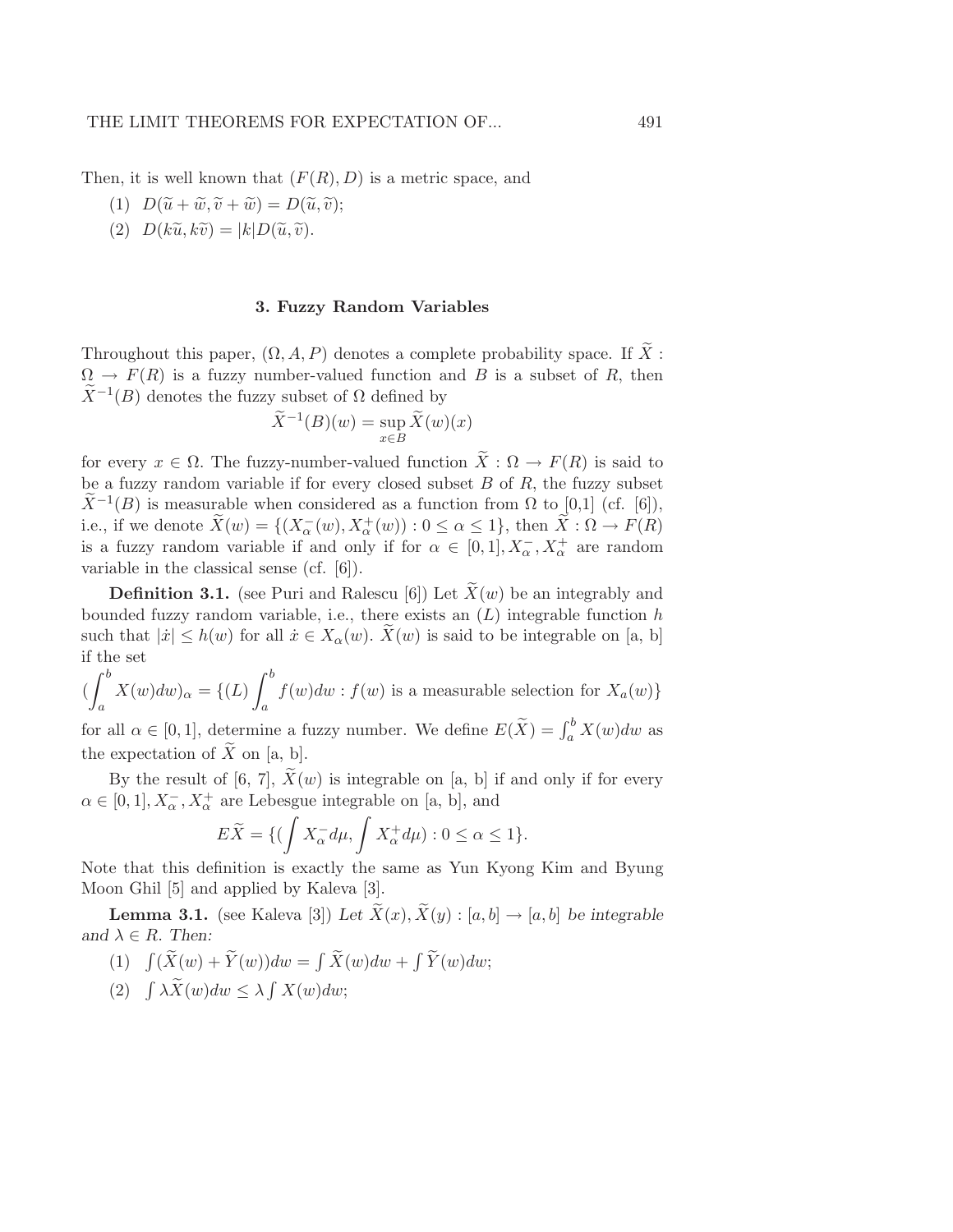Then, it is well known that  $(F(R), D)$  is a metric space, and

- (1)  $D(\widetilde{u} + \widetilde{w}, \widetilde{v} + \widetilde{w}) = D(\widetilde{u}, \widetilde{v});$
- (2)  $D(k\tilde{u}, k\tilde{v}) = |k|D(\tilde{u}, \tilde{v}).$

### 3. Fuzzy Random Variables

Throughout this paper,  $(\Omega, A, P)$  denotes a complete probability space. If  $\widetilde{X}$ :  $\Omega \to F(R)$  is a fuzzy number-valued function and B is a subset of R, then  $\widetilde{X}^{-1}(B)$  denotes the fuzzy subset of  $\Omega$  defined by

$$
\widetilde{X}^{-1}(B)(w) = \sup_{x \in B} \widetilde{X}(w)(x)
$$

for every  $x \in \Omega$ . The fuzzy-number-valued function  $\widetilde{X}: \Omega \to F(R)$  is said to be a fuzzy random variable if for every closed subset  $B$  of  $R$ , the fuzzy subset  $\widetilde{X}^{-1}(B)$  is measurable when considered as a function from  $\Omega$  to [0,1] (cf. [6]), i.e., if we denote  $\tilde{X}(w) = \{(X_\alpha^-(w), X_\alpha^+(w)) : 0 \le \alpha \le 1\}$ , then  $\tilde{X}: \Omega \to F(R)$ is a fuzzy random variable if and only if for  $\alpha \in [0,1], X_{\alpha}^{-}, X_{\alpha}^{+}$  are random variable in the classical sense (cf. [6]).

**Definition 3.1.** (see Puri and Ralescu [6]) Let  $\tilde{X}(w)$  be an integrably and bounded fuzzy random variable, i.e., there exists an  $(L)$  integrable function  $h$ such that  $|\dot{x}| \leq h(w)$  for all  $\dot{x} \in X_\alpha(w)$ .  $\dot{X}(w)$  is said to be integrable on [a, b] if the set

$$
\left(\int_{a}^{b} X(w)dw\right)_{\alpha} = \left\{ (L) \int_{a}^{b} f(w)dw : f(w) \text{ is a measurable selection for } X_a(w) \right\}
$$

for all  $\alpha \in [0,1]$ , determine a fuzzy number. We define  $E(\tilde{X}) = \int_a^b X(w)dw$  as the expectation of  $\widetilde{X}$  on [a, b].

By the result of [6, 7],  $\widetilde{X}(w)$  is integrable on [a, b] if and only if for every  $\alpha \in [0, 1], X_{\alpha}^-, X_{\alpha}^+$  are Lebesgue integrable on [a, b], and

$$
E\widetilde{X} = \{ (\int X_{\alpha}^- d\mu, \int X_{\alpha}^+ d\mu) : 0 \le \alpha \le 1 \}.
$$

Note that this definition is exactly the same as Yun Kyong Kim and Byung Moon Ghil [5] and applied by Kaleva [3].

**Lemma 3.1.** (see Kaleva [3]) Let  $\widetilde{X}(x), \widetilde{X}(y) : [a, b] \rightarrow [a, b]$  be integrable and  $\lambda \in R$ . *Then:* 

- (1)  $\int (\widetilde{X}(w) + \widetilde{Y}(w))dw = \int \widetilde{X}(w)dw + \int \widetilde{Y}(w)dw;$
- (2)  $\int \lambda \widetilde{X}(w)dw \leq \lambda \int X(w)dw;$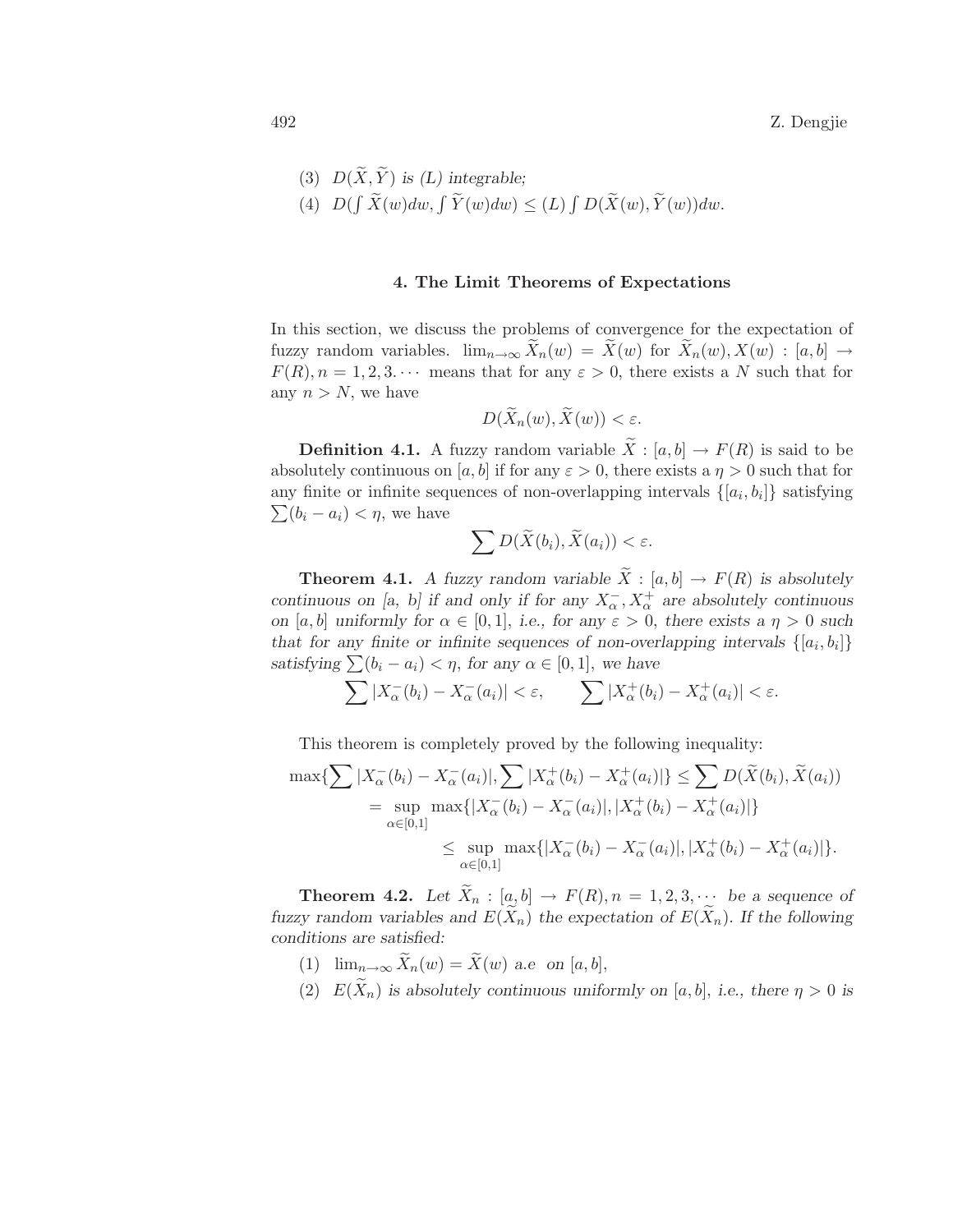(3)  $D(\widetilde{X}, \widetilde{Y})$  *is (L) integrable:* (4)  $D(\int \widetilde{X}(w)dw, \int \widetilde{Y}(w)dw) \leq (L) \int D(\widetilde{X}(w), \widetilde{Y}(w))dw.$ 

#### 4. The Limit Theorems of Expectations

In this section, we discuss the problems of convergence for the expectation of fuzzy random variables.  $\lim_{n\to\infty} \tilde{X}_n(w) = \tilde{X}(w)$  for  $\tilde{X}_n(w), X(w) : [a, b] \to$  $F(R)$ ,  $n = 1, 2, 3, \cdots$  means that for any  $\varepsilon > 0$ , there exists a N such that for any  $n > N$ , we have

$$
D(X_n(w), X(w)) < \varepsilon.
$$

**Definition 4.1.** A fuzzy random variable  $\widetilde{X} : [a, b] \to F(R)$  is said to be absolutely continuous on [a, b] if for any  $\varepsilon > 0$ , there exists a  $\eta > 0$  such that for any finite or infinite sequences of non-overlapping intervals  $\{[a_i, b_i]\}$  satisfying  $\sum (b_i - a_i) < \eta$ , we have

$$
\sum D(\widetilde{X}(b_i), \widetilde{X}(a_i)) < \varepsilon.
$$

**Theorem 4.1.** *A fuzzy random variable*  $\widetilde{X}$  : [a, b]  $\rightarrow$  F(R) is absolutely *continuous on [a, b] if and only if for any*  $X_{\alpha}^{-}$ ,  $X_{\alpha}^{+}$  are absolutely continuous *on* [a, b] *uniformly for*  $\alpha \in [0, 1]$ , *i.e.*, *for* any  $\varepsilon > 0$ , *there exists* a  $\eta > 0$  *such* that for any finite or infinite sequences of non-overlapping intervals  $\{[a_i, b_i]\}$ *satisfying*  $\sum (b_i - a_i) < \eta$ , *for any*  $\alpha \in [0, 1]$ , *we have* 

$$
\sum |X_{\alpha}^{-}(b_i) - X_{\alpha}^{-}(a_i)| < \varepsilon, \qquad \sum |X_{\alpha}^{+}(b_i) - X_{\alpha}^{+}(a_i)| < \varepsilon.
$$

This theorem is completely proved by the following inequality:

$$
\max \{ \sum |X_{\alpha}^{-}(b_{i}) - X_{\alpha}^{-}(a_{i})|, \sum |X_{\alpha}^{+}(b_{i}) - X_{\alpha}^{+}(a_{i})| \} \leq \sum D(\widetilde{X}(b_{i}), \widetilde{X}(a_{i}))
$$
  
\n
$$
= \sup_{\alpha \in [0,1]} \max \{ |X_{\alpha}^{-}(b_{i}) - X_{\alpha}^{-}(a_{i})|, |X_{\alpha}^{+}(b_{i}) - X_{\alpha}^{+}(a_{i})| \}
$$
  
\n
$$
\leq \sup_{\alpha \in [0,1]} \max \{ |X_{\alpha}^{-}(b_{i}) - X_{\alpha}^{-}(a_{i})|, |X_{\alpha}^{+}(b_{i}) - X_{\alpha}^{+}(a_{i})| \}.
$$

**Theorem 4.2.** Let  $\widetilde{X}_n : [a, b] \to F(R), n = 1, 2, 3, \cdots$  be a sequence of *fuzzy random variables and*  $E(\tilde{X}_n)$  *the expectation of*  $E(\tilde{X}_n)$ *. If the following conditions are satisfied:*

- (1)  $\lim_{n\to\infty} \widetilde{X}_n(w) = \widetilde{X}(w)$  *a.e on* [*a*, *b*],
- (2)  $E(\widetilde{X}_n)$  *is absolutely continuous uniformly on* [a, b], *i.e.*, there  $\eta > 0$  *is*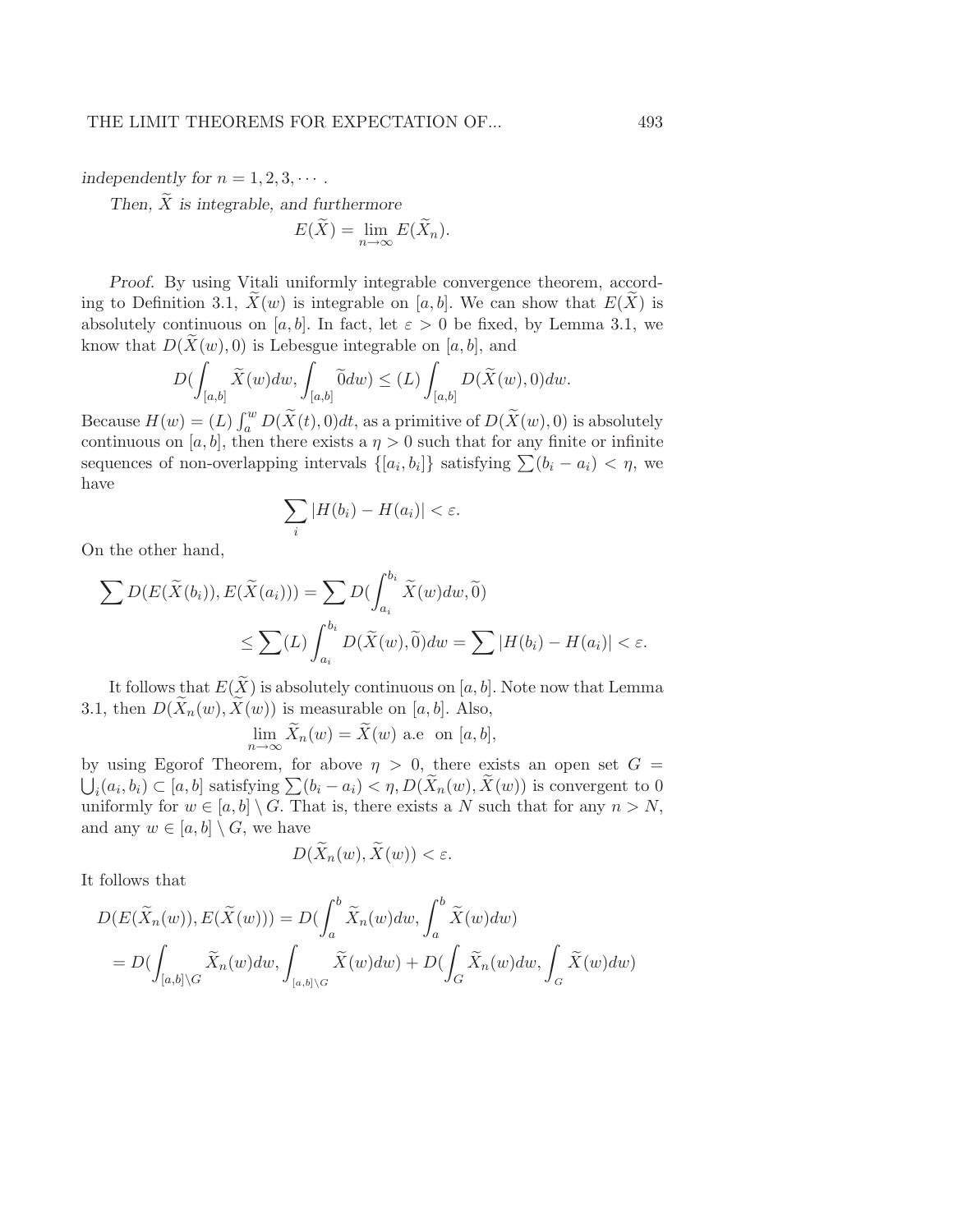*independently for*  $n = 1, 2, 3, \cdots$ .

Then,  $\widetilde{X}$  *is integrable, and furthermore* 

$$
E(\widetilde{X}) = \lim_{n \to \infty} E(\widetilde{X}_n).
$$

*Proof.* By using Vitali uniformly integrable convergence theorem, according to Definition 3.1,  $\bar{X}(w)$  is integrable on [a, b]. We can show that  $E(\bar{X})$  is absolutely continuous on [a, b]. In fact, let  $\varepsilon > 0$  be fixed, by Lemma 3.1, we know that  $D(X(w), 0)$  is Lebesgue integrable on [a, b], and

$$
D(\int_{[a,b]} \widetilde{X}(w)dw, \int_{[a,b]} \widetilde{0}dw) \le (L)\int_{[a,b]} D(\widetilde{X}(w),0)dw.
$$

Because  $H(w) = (L) \int_a^w D(\tilde{X}(t), 0) dt$ , as a primitive of  $D(\tilde{X}(w), 0)$  is absolutely continuous on [a, b], then there exists a  $\eta > 0$  such that for any finite or infinite sequences of non-overlapping intervals  $\{[a_i, b_i]\}$  satisfying  $\sum (b_i - a_i) < \eta$ , we have

$$
\sum_i |H(b_i) - H(a_i)| < \varepsilon.
$$

On the other hand,

$$
\sum D(E(\widetilde{X}(b_i)), E(\widetilde{X}(a_i))) = \sum D(\int_{a_i}^{b_i} \widetilde{X}(w)dw, \widetilde{0})
$$
  

$$
\leq \sum (L) \int_{a_i}^{b_i} D(\widetilde{X}(w), \widetilde{0})dw = \sum |H(b_i) - H(a_i)| < \varepsilon.
$$

It follows that  $E(\widetilde{X})$  is absolutely continuous on [a, b]. Note now that Lemma 3.1, then  $D(X_n(w), X(w))$  is measurable on [a, b]. Also,

$$
\lim_{n \to \infty} \widetilde{X}_n(w) = \widetilde{X}(w) \text{ a.e } \text{ on } [a, b],
$$

by using Egorof Theorem, for above  $\eta > 0$ , there exists an open set  $G =$  $\bigcup_i (a_i, b_i) \subset [a, b]$  satisfying  $\sum (b_i - a_i) < \eta, D(\widetilde{X}_n(w), \widetilde{X}(w))$  is convergent to 0 uniformly for  $w \in [a, b] \setminus G$ . That is, there exists a N such that for any  $n > N$ , and any  $w \in [a, b] \setminus G$ , we have

$$
D(\widetilde{X}_n(w), \widetilde{X}(w)) < \varepsilon.
$$

It follows that

$$
D(E(\widetilde{X}_n(w)), E(\widetilde{X}(w))) = D(\int_a^b \widetilde{X}_n(w)dw, \int_a^b \widetilde{X}(w)dw)
$$
  
= 
$$
D(\int_{[a,b]\backslash G} \widetilde{X}_n(w)dw, \int_{[a,b]\backslash G} \widetilde{X}(w)dw) + D(\int_G \widetilde{X}_n(w)dw, \int_G \widetilde{X}(w)dw)
$$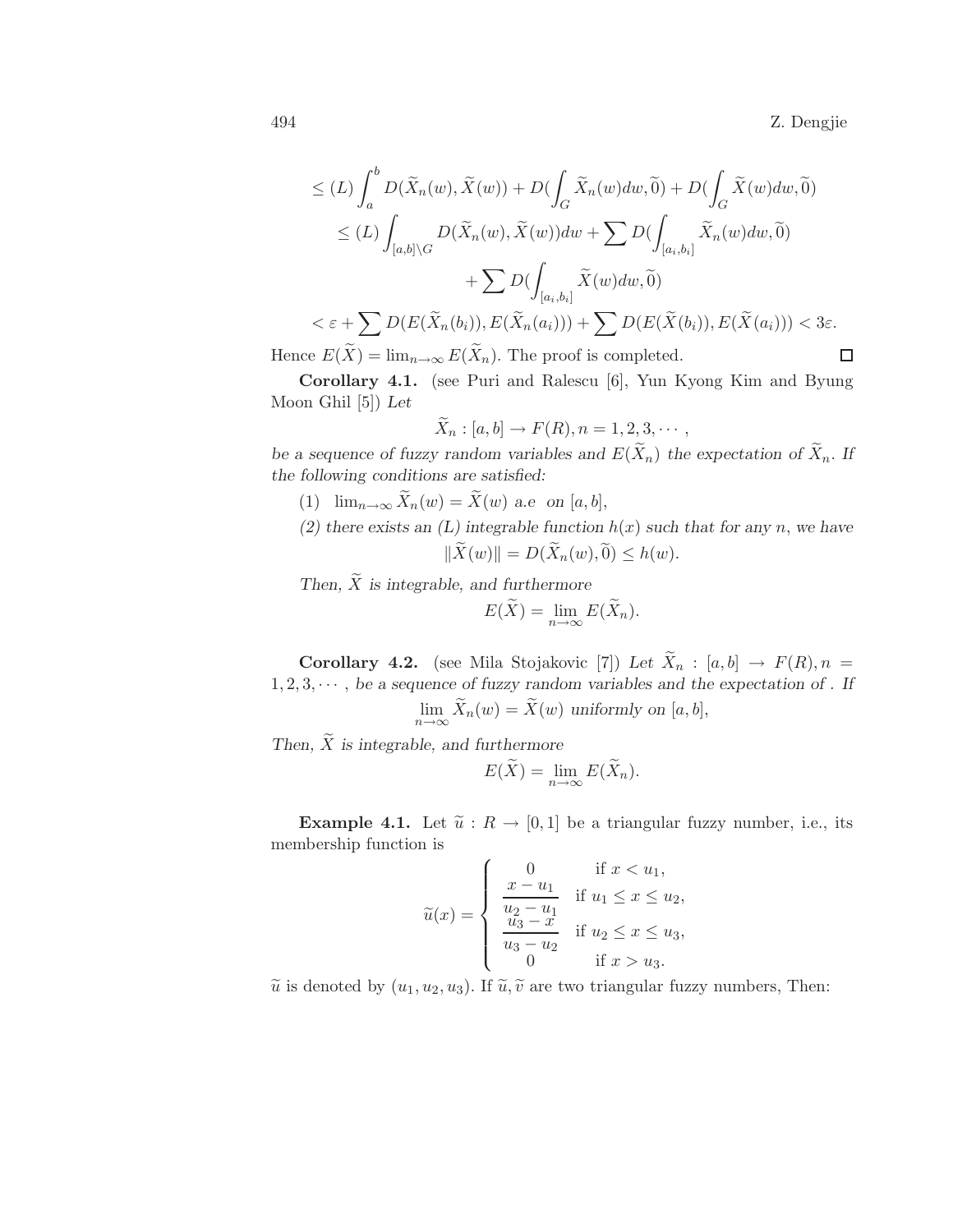494 Z. Dengjie

$$
\leq (L) \int_{a}^{b} D(\widetilde{X}_{n}(w), \widetilde{X}(w)) + D(\int_{G} \widetilde{X}_{n}(w)dw, \widetilde{0}) + D(\int_{G} \widetilde{X}(w)dw, \widetilde{0})
$$
  
\n
$$
\leq (L) \int_{[a,b] \backslash G} D(\widetilde{X}_{n}(w), \widetilde{X}(w))dw + \sum D(\int_{[a_{i},b_{i}]} \widetilde{X}_{n}(w)dw, \widetilde{0})
$$
  
\n
$$
+ \sum D(\int_{[a_{i},b_{i}]} \widetilde{X}(w)dw, \widetilde{0})
$$
  
\n
$$
< \varepsilon + \sum D(E(\widetilde{X}_{n}(b_{i})), E(\widetilde{X}_{n}(a_{i}))) + \sum D(E(\widetilde{X}(b_{i})), E(\widetilde{X}(a_{i}))) < 3\varepsilon.
$$
  
\nwe  $E(\widetilde{X}) = \lim_{n \to \infty} E(\widetilde{X}_{n}).$  The proof is completed.

Hence  $E(X) = \lim_{n \to \infty} E(X_n)$ . The proof is completed.

Corollary 4.1. (see Puri and Ralescu [6], Yun Kyong Kim and Byung Moon Ghil [5]) *Let*

$$
\tilde{X}_n : [a, b] \to F(R), n = 1, 2, 3, \cdots,
$$

*be a sequence of fuzzy random variables and*  $E(\tilde{X}_n)$  *the expectation of*  $\tilde{X}_n$ *. If the following conditions are satisfied:*

- (1)  $\lim_{n\to\infty} \widetilde{X}_n(w) = \widetilde{X}(w)$  *a.e on* [*a*, *b*],
- (2) there exists an  $(L)$  integrable function  $h(x)$  such that for any n, we have  $\|\widetilde{X}(w)\| = D(\widetilde{X}_n(w), 0) \leq h(w).$

*Then,*  $\widetilde{X}$  *is integrable, and furthermore* 

$$
E(\widetilde{X}) = \lim_{n \to \infty} E(\widetilde{X}_n).
$$

**Corollary 4.2.** (see Mila Stojakovic [7]) Let  $\widetilde{X}_n$  : [a, b]  $\rightarrow$   $F(R), n =$  $1, 2, 3, \dots$ , *be a sequence of fuzzy random variables and the expectation of . If*  $\lim_{n\to\infty} X_n(w) = X(w)$  *uniformly on* [a, b],

Then,  $\widetilde{X}$  *is integrable, and furthermore* 

$$
E(\widetilde{X}) = \lim_{n \to \infty} E(\widetilde{X}_n).
$$

**Example 4.1.** Let  $\tilde{u}: R \to [0, 1]$  be a triangular fuzzy number, i.e., its membership function is

$$
\widetilde{u}(x) = \begin{cases}\n0 & \text{if } x < u_1, \\
\frac{x - u_1}{u_2 - u_1} & \text{if } u_1 \leq x \leq u_2, \\
\frac{u_3 - x}{u_3 - u_2} & \text{if } u_2 \leq x \leq u_3, \\
0 & \text{if } x > u_3.\n\end{cases}
$$

 $\tilde{u}$  is denoted by  $(u_1, u_2, u_3)$ . If  $\tilde{u}, \tilde{v}$  are two triangular fuzzy numbers, Then: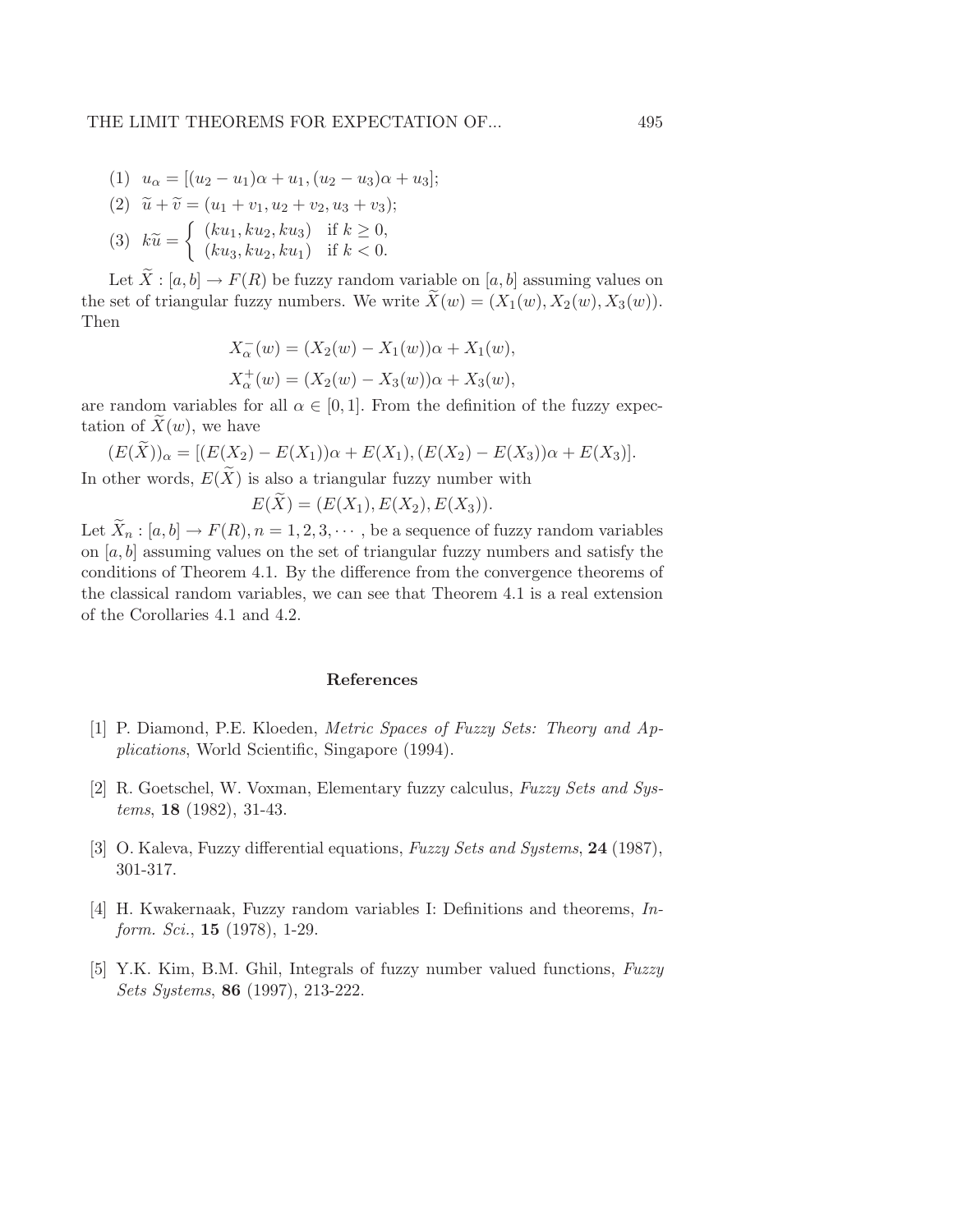- (1)  $u_{\alpha} = [(u_2 u_1)\alpha + u_1, (u_2 u_3)\alpha + u_3];$
- (2)  $\tilde{u} + \tilde{v} = (u_1 + v_1, u_2 + v_2, u_3 + v_3);$
- $(3)$   $k\tilde{u} =$  $\int (ku_1, ku_2, ku_3)$  if  $k \geq 0$ ,  $(ku_3, ku_2, ku_1)$  if  $k < 0$ .

Let  $\overline{X}$ :  $[a, b] \rightarrow F(R)$  be fuzzy random variable on  $[a, b]$  assuming values on the set of triangular fuzzy numbers. We write  $\ddot{X}(w) = (X_1(w), X_2(w), X_3(w)).$ Then

$$
X_{\alpha}^{-}(w) = (X_{2}(w) - X_{1}(w))\alpha + X_{1}(w),
$$
  

$$
X_{\alpha}^{+}(w) = (X_{2}(w) - X_{3}(w))\alpha + X_{3}(w),
$$

are random variables for all  $\alpha \in [0, 1]$ . From the definition of the fuzzy expectation of  $X(w)$ , we have

$$
(E(\widetilde{X}))_{\alpha} = [(E(X_2) - E(X_1))\alpha + E(X_1), (E(X_2) - E(X_3))\alpha + E(X_3)].
$$

In other words,  $E(X)$  is also a triangular fuzzy number with

$$
E(X) = (E(X_1), E(X_2), E(X_3)).
$$

Let  $\widetilde{X}_n : [a, b] \to F(R)$ ,  $n = 1, 2, 3, \cdots$ , be a sequence of fuzzy random variables on  $[a, b]$  assuming values on the set of triangular fuzzy numbers and satisfy the conditions of Theorem 4.1. By the difference from the convergence theorems of the classical random variables, we can see that Theorem 4.1 is a real extension of the Corollaries 4.1 and 4.2.

#### References

- [1] P. Diamond, P.E. Kloeden, *Metric Spaces of Fuzzy Sets: Theory and Applications*, World Scientific, Singapore (1994).
- [2] R. Goetschel, W. Voxman, Elementary fuzzy calculus, *Fuzzy Sets and Systems*, 18 (1982), 31-43.
- [3] O. Kaleva, Fuzzy differential equations, *Fuzzy Sets and Systems*, 24 (1987), 301-317.
- [4] H. Kwakernaak, Fuzzy random variables I: Definitions and theorems, *Inform. Sci.*, 15 (1978), 1-29.
- [5] Y.K. Kim, B.M. Ghil, Integrals of fuzzy number valued functions, *Fuzzy Sets Systems*, 86 (1997), 213-222.